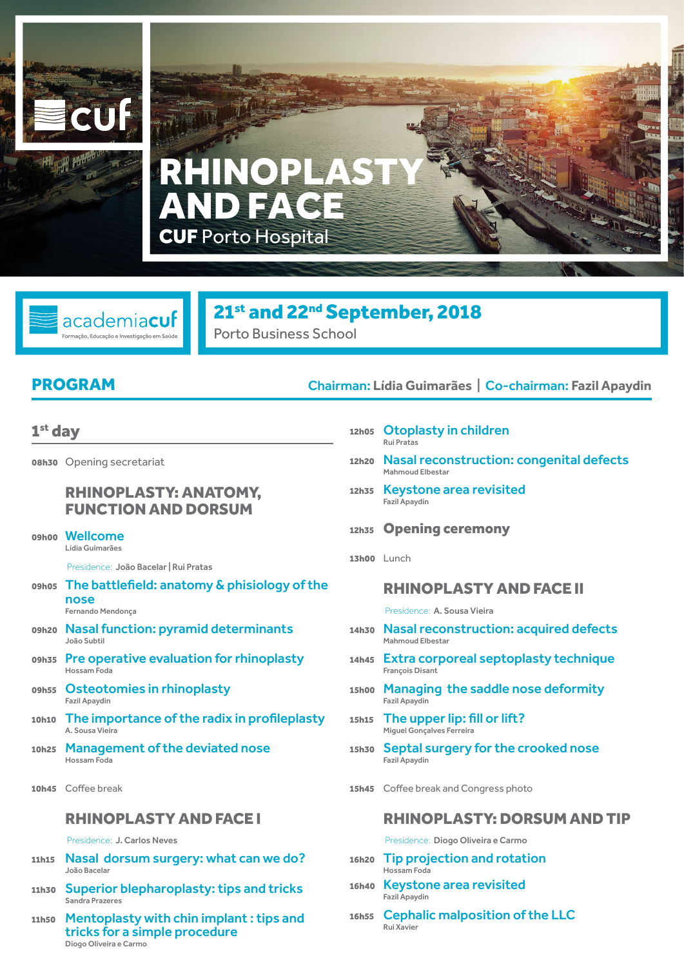

# **CUF** Porto Hospital NOPL AND FACE

# 21<sup>st</sup> and 22<sup>nd</sup> September, 2018 Porto Business School

academiacuf

#### 1st day

08h30 Opening secretariat

#### RHINOPLASTY: ANATOMY, FUNCTION AND DORSUM

#### 09h00 Wellcome Lídia Guimarães

Presidence: João Bacelar | Rui Pratas

- 09h05 The battlefield: anatomy & phisiology of the nose Fernando Mendonça
- 09h20 Nasal function: pyramid determinants João Subtil
- 09h35 Pre operative evaluation for rhinoplasty Hossam Foda
- 09h55 Osteotomies in rhinoplasty Fazil Apaydin
- 10h10 The importance of the radix in profileplasty A. Sousa Vieira
- 10h25 Management of the deviated nose Hossam Foda
- 10h45 Coffee break

#### RHINOPLASTY AND FACE I

#### Presidence: J. Carlos Neves

- 11h15 Nasal dorsum surgery: what can we do? João Bacelar
- 11h30 Superior blepharoplasty: tips and tricks Sandra Prazeres
- 11h50 Mentoplasty with chin implant : tips and tricks for a simple procedure Diogo Oliveira e Carmo

### PROGRAM Chairman: **Lídia Guimarães** | Co-chairman: **Fazil Apaydin**

- 12h05 Otoplasty in children Rui Pratas
- 12h20 Nasal reconstruction: congenital defects Mahmoud Elbestar
- 12h35 Keystone area revisited Fazil Apaydin
- 12h35 Opening ceremony
- 13h00 Lunch

#### RHINOPLASTY AND FACE II

Presidence: A. Sousa Vieira

- 14h30 Nasal reconstruction: acquired defects Mahmoud Elbestar
- 14h45 Extra corporeal septoplasty technique François Disant
- 15h00 Managing the saddle nose deformity Fazil Apaydin
- 15h15 The upper lip: fill or lift? Miguel Gonçalves Ferreira
- 15h30 Septal surgery for the crooked nose Fazil Apaydin
- 15h45 Coffee break and Congress photo

#### RHINOPLASTY: DORSUM AND TIP

Presidence: Diogo Oliveira e Carmo

- 16h20 Tip projection and rotation Hossam Foda
- 16h40 Keystone area revisited Fazil Apaydin
- 16h55 Cephalic malposition of the LLC Rui Xavier